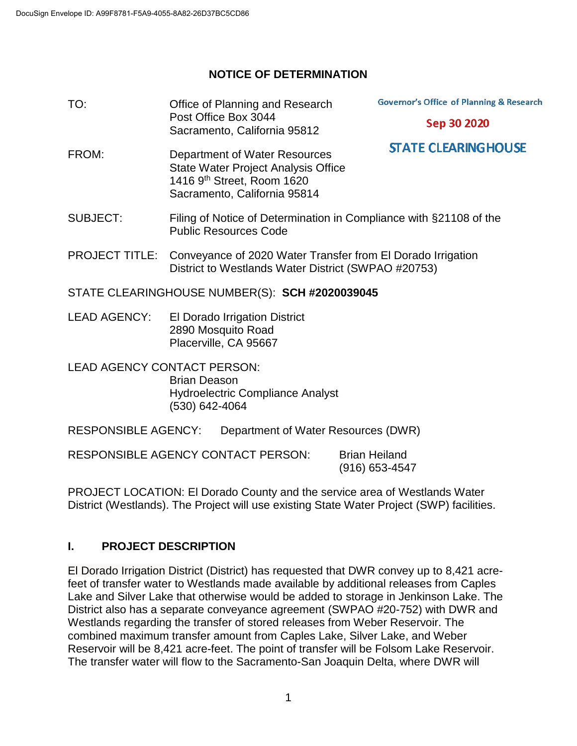## **NOTICE OF DETERMINATION**

| TO:                                                                                                                    | Office of Planning and Research<br>Post Office Box 3044<br>Sacramento, California 95812                                                   | <b>Governor's Office of Planning &amp; Research</b>                |
|------------------------------------------------------------------------------------------------------------------------|-------------------------------------------------------------------------------------------------------------------------------------------|--------------------------------------------------------------------|
|                                                                                                                        |                                                                                                                                           | Sep 30 2020                                                        |
| FROM:                                                                                                                  | Department of Water Resources<br><b>State Water Project Analysis Office</b><br>1416 9th Street, Room 1620<br>Sacramento, California 95814 | <b>STATE CLEARING HOUSE</b>                                        |
| <b>SUBJECT:</b>                                                                                                        | <b>Public Resources Code</b>                                                                                                              | Filing of Notice of Determination in Compliance with §21108 of the |
| <b>PROJECT TITLE:</b>                                                                                                  | Conveyance of 2020 Water Transfer from El Dorado Irrigation<br>District to Westlands Water District (SWPAO #20753)                        |                                                                    |
| STATE CLEARINGHOUSE NUMBER(S): SCH #2020039045                                                                         |                                                                                                                                           |                                                                    |
| <b>LEAD AGENCY:</b>                                                                                                    | <b>El Dorado Irrigation District</b><br>2890 Mosquito Road<br>Placerville, CA 95667                                                       |                                                                    |
| <b>LEAD AGENCY CONTACT PERSON:</b><br><b>Brian Deason</b><br><b>Hydroelectric Compliance Analyst</b><br>(530) 642-4064 |                                                                                                                                           |                                                                    |
| <b>RESPONSIBLE AGENCY:</b><br>Department of Water Resources (DWR)                                                      |                                                                                                                                           |                                                                    |
| <b>RESPONSIBLE AGENCY CONTACT PERSON:</b><br><b>Brian Heiland</b><br>(916) 653-4547                                    |                                                                                                                                           |                                                                    |

PROJECT LOCATION: El Dorado County and the service area of Westlands Water District (Westlands). The Project will use existing State Water Project (SWP) facilities.

# **I. PROJECT DESCRIPTION**

El Dorado Irrigation District (District) has requested that DWR convey up to 8,421 acrefeet of transfer water to Westlands made available by additional releases from Caples Lake and Silver Lake that otherwise would be added to storage in Jenkinson Lake. The District also has a separate conveyance agreement (SWPAO #20-752) with DWR and Westlands regarding the transfer of stored releases from Weber Reservoir. The combined maximum transfer amount from Caples Lake, Silver Lake, and Weber Reservoir will be 8,421 acre-feet. The point of transfer will be Folsom Lake Reservoir. The transfer water will flow to the Sacramento-San Joaquin Delta, where DWR will